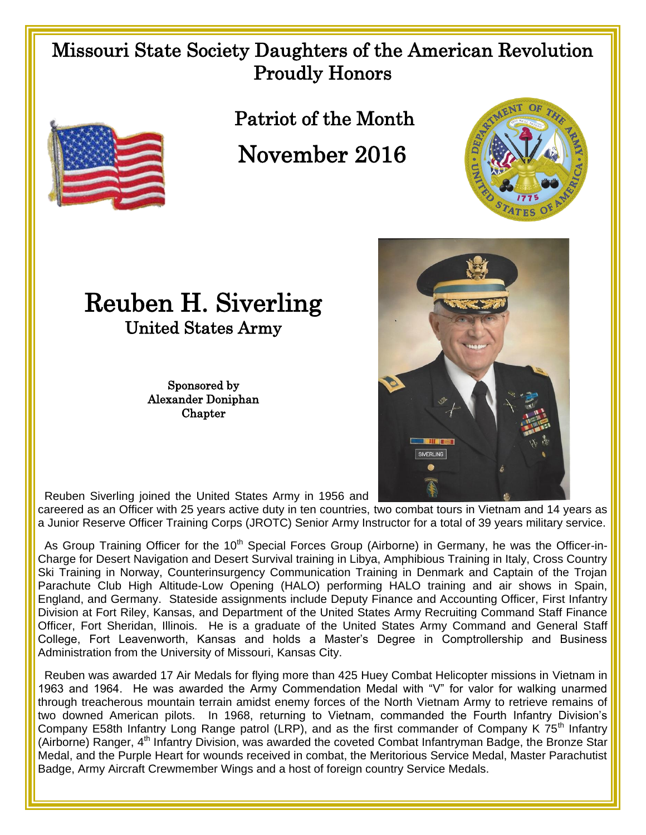## Missouri State Society Daughters of the American Revolution Proudly Honors



Patriot of the Month

November 2016





Sponsored by Alexander Doniphan **Chapter** 



Reuben Siverling joined the United States Army in 1956 and

careered as an Officer with 25 years active duty in ten countries, two combat tours in Vietnam and 14 years as a Junior Reserve Officer Training Corps (JROTC) Senior Army Instructor for a total of 39 years military service.

As Group Training Officer for the 10<sup>th</sup> Special Forces Group (Airborne) in Germany, he was the Officer-in-Charge for Desert Navigation and Desert Survival training in Libya, Amphibious Training in Italy, Cross Country Ski Training in Norway, Counterinsurgency Communication Training in Denmark and Captain of the Trojan Parachute Club High Altitude-Low Opening (HALO) performing HALO training and air shows in Spain, England, and Germany. Stateside assignments include Deputy Finance and Accounting Officer, First Infantry Division at Fort Riley, Kansas, and Department of the United States Army Recruiting Command Staff Finance Officer, Fort Sheridan, Illinois. He is a graduate of the United States Army Command and General Staff College, Fort Leavenworth, Kansas and holds a Master's Degree in Comptrollership and Business Administration from the University of Missouri, Kansas City.

 Reuben was awarded 17 Air Medals for flying more than 425 Huey Combat Helicopter missions in Vietnam in 1963 and 1964. He was awarded the Army Commendation Medal with "V" for valor for walking unarmed through treacherous mountain terrain amidst enemy forces of the North Vietnam Army to retrieve remains of two downed American pilots. In 1968, returning to Vietnam, commanded the Fourth Infantry Division's Company E58th Infantry Long Range patrol (LRP), and as the first commander of Company K  $75<sup>th</sup>$  Infantry (Airborne) Ranger,  $4<sup>th</sup>$  Infantry Division, was awarded the coveted Combat Infantryman Badge, the Bronze Star Medal, and the Purple Heart for wounds received in combat, the Meritorious Service Medal, Master Parachutist Badge, Army Aircraft Crewmember Wings and a host of foreign country Service Medals.